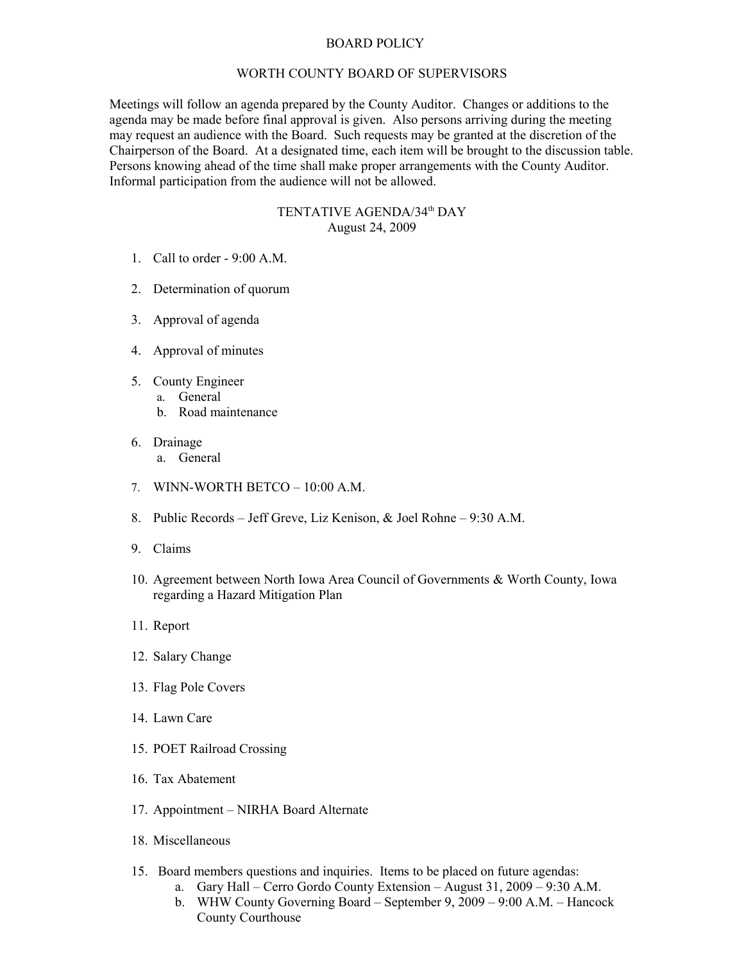## BOARD POLICY

## WORTH COUNTY BOARD OF SUPERVISORS

Meetings will follow an agenda prepared by the County Auditor. Changes or additions to the agenda may be made before final approval is given. Also persons arriving during the meeting may request an audience with the Board. Such requests may be granted at the discretion of the Chairperson of the Board. At a designated time, each item will be brought to the discussion table. Persons knowing ahead of the time shall make proper arrangements with the County Auditor. Informal participation from the audience will not be allowed.

## TENTATIVE AGENDA/34<sup>th</sup> DAY August 24, 2009

- 1. Call to order 9:00 A.M.
- 2. Determination of quorum
- 3. Approval of agenda
- 4. Approval of minutes
- 5. County Engineer
	- a. General
	- b. Road maintenance
- 6. Drainage
	- a. General
- 7. WINN-WORTH BETCO 10:00 A.M.
- 8. Public Records Jeff Greve, Liz Kenison, & Joel Rohne 9:30 A.M.
- 9. Claims
- 10. Agreement between North Iowa Area Council of Governments & Worth County, Iowa regarding a Hazard Mitigation Plan
- 11. Report
- 12. Salary Change
- 13. Flag Pole Covers
- 14. Lawn Care
- 15. POET Railroad Crossing
- 16. Tax Abatement
- 17. Appointment NIRHA Board Alternate
- 18. Miscellaneous
- 15. Board members questions and inquiries. Items to be placed on future agendas:
	- a. Gary Hall Cerro Gordo County Extension August 31, 2009 9:30 A.M.
	- b. WHW County Governing Board September 9, 2009 9:00 A.M. Hancock County Courthouse